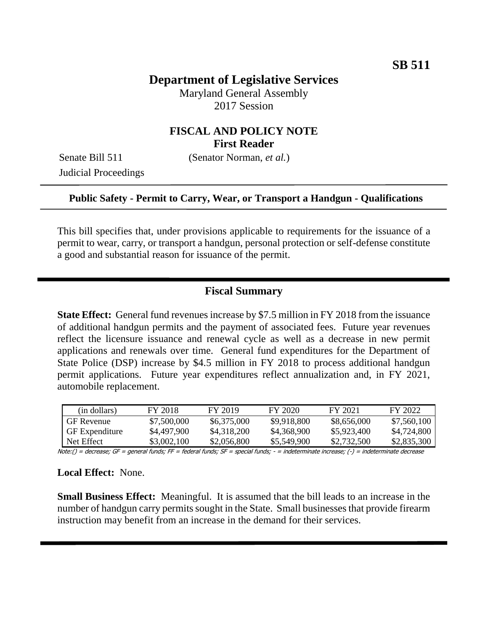# **Department of Legislative Services**

Maryland General Assembly 2017 Session

### **FISCAL AND POLICY NOTE First Reader**

Judicial Proceedings

Senate Bill 511 (Senator Norman, *et al.*)

#### **Public Safety - Permit to Carry, Wear, or Transport a Handgun - Qualifications**

This bill specifies that, under provisions applicable to requirements for the issuance of a permit to wear, carry, or transport a handgun, personal protection or self-defense constitute a good and substantial reason for issuance of the permit.

### **Fiscal Summary**

**State Effect:** General fund revenues increase by \$7.5 million in FY 2018 from the issuance of additional handgun permits and the payment of associated fees. Future year revenues reflect the licensure issuance and renewal cycle as well as a decrease in new permit applications and renewals over time. General fund expenditures for the Department of State Police (DSP) increase by \$4.5 million in FY 2018 to process additional handgun permit applications. Future year expenditures reflect annualization and, in FY 2021, automobile replacement.

| (in dollars)          | FY 2018     | FY 2019     | FY 2020     | FY 2021     | FY 2022     |
|-----------------------|-------------|-------------|-------------|-------------|-------------|
| <b>GF</b> Revenue     | \$7,500,000 | \$6,375,000 | \$9,918,800 | \$8,656,000 | \$7,560,100 |
| <b>GF</b> Expenditure | \$4,497,900 | \$4,318,200 | \$4,368,900 | \$5,923,400 | \$4,724,800 |
| Net Effect            | \$3,002,100 | \$2,056,800 | \$5,549.900 | \$2,732,500 | \$2,835,300 |

Note:() = decrease; GF = general funds; FF = federal funds; SF = special funds; - = indeterminate increase; (-) = indeterminate decrease

#### **Local Effect:** None.

**Small Business Effect:** Meaningful. It is assumed that the bill leads to an increase in the number of handgun carry permits sought in the State. Small businesses that provide firearm instruction may benefit from an increase in the demand for their services.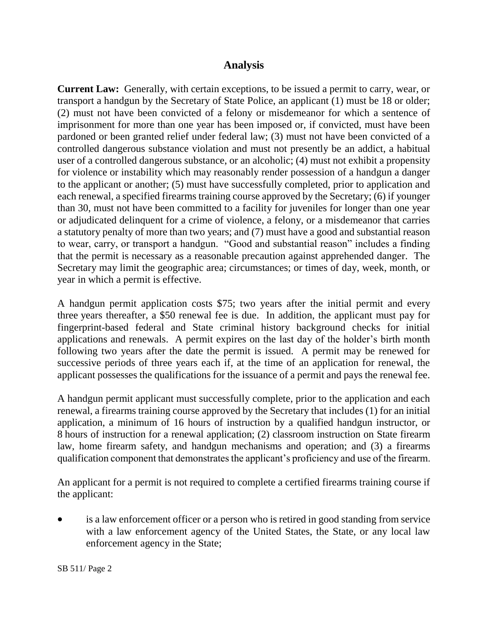### **Analysis**

**Current Law:** Generally, with certain exceptions, to be issued a permit to carry, wear, or transport a handgun by the Secretary of State Police, an applicant (1) must be 18 or older; (2) must not have been convicted of a felony or misdemeanor for which a sentence of imprisonment for more than one year has been imposed or, if convicted, must have been pardoned or been granted relief under federal law; (3) must not have been convicted of a controlled dangerous substance violation and must not presently be an addict, a habitual user of a controlled dangerous substance, or an alcoholic; (4) must not exhibit a propensity for violence or instability which may reasonably render possession of a handgun a danger to the applicant or another; (5) must have successfully completed, prior to application and each renewal, a specified firearms training course approved by the Secretary; (6) if younger than 30, must not have been committed to a facility for juveniles for longer than one year or adjudicated delinquent for a crime of violence, a felony, or a misdemeanor that carries a statutory penalty of more than two years; and (7) must have a good and substantial reason to wear, carry, or transport a handgun. "Good and substantial reason" includes a finding that the permit is necessary as a reasonable precaution against apprehended danger. The Secretary may limit the geographic area; circumstances; or times of day, week, month, or year in which a permit is effective.

A handgun permit application costs \$75; two years after the initial permit and every three years thereafter, a \$50 renewal fee is due. In addition, the applicant must pay for fingerprint-based federal and State criminal history background checks for initial applications and renewals. A permit expires on the last day of the holder's birth month following two years after the date the permit is issued. A permit may be renewed for successive periods of three years each if, at the time of an application for renewal, the applicant possesses the qualifications for the issuance of a permit and pays the renewal fee.

A handgun permit applicant must successfully complete, prior to the application and each renewal, a firearms training course approved by the Secretary that includes (1) for an initial application, a minimum of 16 hours of instruction by a qualified handgun instructor, or 8 hours of instruction for a renewal application; (2) classroom instruction on State firearm law, home firearm safety, and handgun mechanisms and operation; and (3) a firearms qualification component that demonstrates the applicant's proficiency and use of the firearm.

An applicant for a permit is not required to complete a certified firearms training course if the applicant:

 is a law enforcement officer or a person who is retired in good standing from service with a law enforcement agency of the United States, the State, or any local law enforcement agency in the State;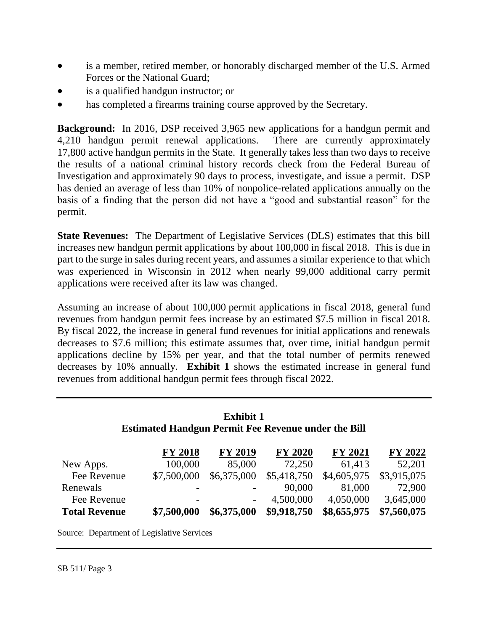- is a member, retired member, or honorably discharged member of the U.S. Armed Forces or the National Guard;
- is a qualified handgun instructor; or
- has completed a firearms training course approved by the Secretary.

**Background:** In 2016, DSP received 3,965 new applications for a handgun permit and 4,210 handgun permit renewal applications. There are currently approximately 17,800 active handgun permits in the State. It generally takes less than two days to receive the results of a national criminal history records check from the Federal Bureau of Investigation and approximately 90 days to process, investigate, and issue a permit. DSP has denied an average of less than 10% of nonpolice-related applications annually on the basis of a finding that the person did not have a "good and substantial reason" for the permit.

**State Revenues:** The Department of Legislative Services (DLS) estimates that this bill increases new handgun permit applications by about 100,000 in fiscal 2018. This is due in part to the surge in sales during recent years, and assumes a similar experience to that which was experienced in Wisconsin in 2012 when nearly 99,000 additional carry permit applications were received after its law was changed.

Assuming an increase of about 100,000 permit applications in fiscal 2018, general fund revenues from handgun permit fees increase by an estimated \$7.5 million in fiscal 2018. By fiscal 2022, the increase in general fund revenues for initial applications and renewals decreases to \$7.6 million; this estimate assumes that, over time, initial handgun permit applications decline by 15% per year, and that the total number of permits renewed decreases by 10% annually. **Exhibit 1** shows the estimated increase in general fund revenues from additional handgun permit fees through fiscal 2022.

## **Exhibit 1 Estimated Handgun Permit Fee Revenue under the Bill**

|                      | <b>FY 2018</b> | <b>FY 2019</b> | <b>FY 2020</b> | <b>FY 2021</b> | FY 2022     |
|----------------------|----------------|----------------|----------------|----------------|-------------|
| New Apps.            | 100,000        | 85,000         | 72,250         | 61,413         | 52,201      |
| Fee Revenue          | \$7,500,000    | \$6,375,000    | \$5,418,750    | \$4,605,975    | \$3,915,075 |
| Renewals             |                |                | 90,000         | 81,000         | 72,900      |
| Fee Revenue          |                |                | 4,500,000      | 4,050,000      | 3,645,000   |
| <b>Total Revenue</b> | \$7,500,000    | \$6,375,000    | \$9,918,750    | \$8,655,975    | \$7,560,075 |

Source: Department of Legislative Services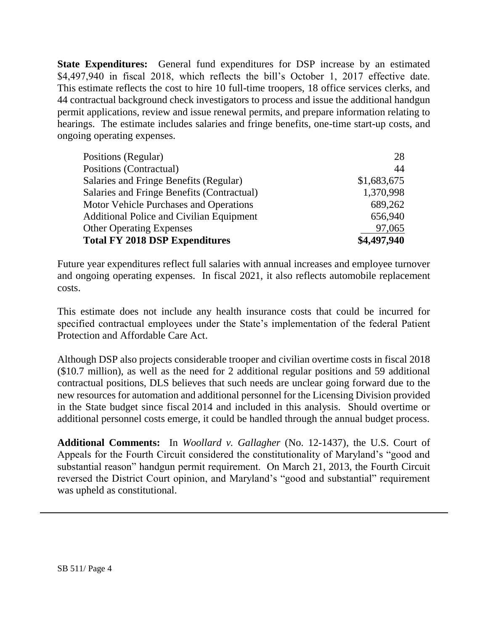**State Expenditures:** General fund expenditures for DSP increase by an estimated \$4,497,940 in fiscal 2018, which reflects the bill's October 1, 2017 effective date. This estimate reflects the cost to hire 10 full-time troopers, 18 office services clerks, and 44 contractual background check investigators to process and issue the additional handgun permit applications, review and issue renewal permits, and prepare information relating to hearings. The estimate includes salaries and fringe benefits, one-time start-up costs, and ongoing operating expenses.

| Positions (Regular)                             | 28          |
|-------------------------------------------------|-------------|
| Positions (Contractual)                         | 44          |
| Salaries and Fringe Benefits (Regular)          | \$1,683,675 |
| Salaries and Fringe Benefits (Contractual)      | 1,370,998   |
| Motor Vehicle Purchases and Operations          | 689,262     |
| <b>Additional Police and Civilian Equipment</b> | 656,940     |
| <b>Other Operating Expenses</b>                 | 97,065      |
| <b>Total FY 2018 DSP Expenditures</b>           | \$4,497,940 |

Future year expenditures reflect full salaries with annual increases and employee turnover and ongoing operating expenses. In fiscal 2021, it also reflects automobile replacement costs.

This estimate does not include any health insurance costs that could be incurred for specified contractual employees under the State's implementation of the federal Patient Protection and Affordable Care Act.

Although DSP also projects considerable trooper and civilian overtime costs in fiscal 2018 (\$10.7 million), as well as the need for 2 additional regular positions and 59 additional contractual positions, DLS believes that such needs are unclear going forward due to the new resources for automation and additional personnel for the Licensing Division provided in the State budget since fiscal 2014 and included in this analysis. Should overtime or additional personnel costs emerge, it could be handled through the annual budget process.

**Additional Comments:** In *Woollard v. Gallagher* (No. 12-1437), the U.S. Court of Appeals for the Fourth Circuit considered the constitutionality of Maryland's "good and substantial reason" handgun permit requirement. On March 21, 2013, the Fourth Circuit reversed the District Court opinion, and Maryland's "good and substantial" requirement was upheld as constitutional.